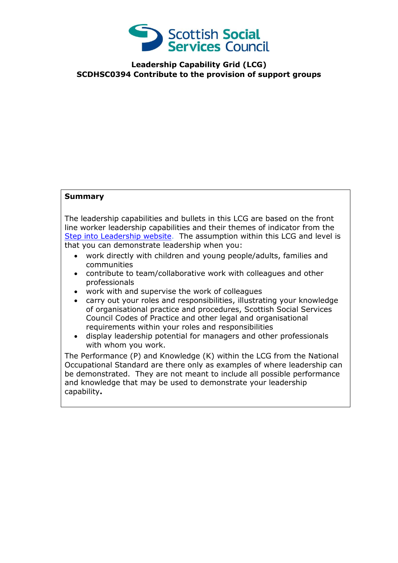

**Leadership Capability Grid (LCG) SCDHSC0394 Contribute to the provision of support groups**

## **Summary**

The leadership capabilities and bullets in this LCG are based on the front line worker leadership capabilities and their themes of indicator from the [Step into Leadership website.](http://www.stepintoleadership.info/) The assumption within this LCG and level is that you can demonstrate leadership when you:

- work directly with children and young people/adults, families and communities
- contribute to team/collaborative work with colleagues and other professionals
- work with and supervise the work of colleagues
- carry out your roles and responsibilities, illustrating your knowledge of organisational practice and procedures, Scottish Social Services Council Codes of Practice and other legal and organisational requirements within your roles and responsibilities
- display leadership potential for managers and other professionals with whom you work.

The Performance (P) and Knowledge (K) within the LCG from the National Occupational Standard are there only as examples of where leadership can be demonstrated. They are not meant to include all possible performance and knowledge that may be used to demonstrate your leadership capability**.**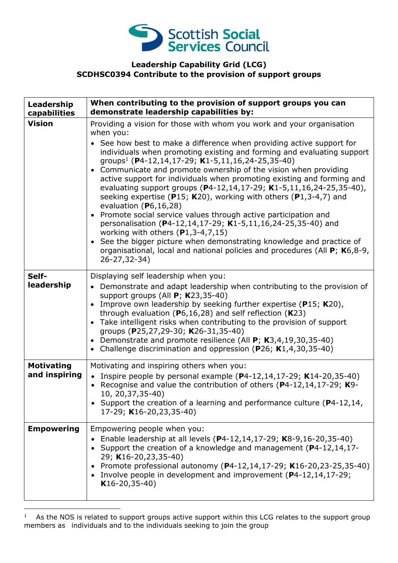

## **Leadership Capability Grid (LCG) SCDHSC0394 Contribute to the provision of support groups**

| Leadership<br>capabilities         | When contributing to the provision of support groups you can<br>demonstrate leadership capabilities by:                                                                                                                                                                                                                                                                                                                                                                                                                                                                                                                                                                                                                                                                                                                                                                                                                                                                    |
|------------------------------------|----------------------------------------------------------------------------------------------------------------------------------------------------------------------------------------------------------------------------------------------------------------------------------------------------------------------------------------------------------------------------------------------------------------------------------------------------------------------------------------------------------------------------------------------------------------------------------------------------------------------------------------------------------------------------------------------------------------------------------------------------------------------------------------------------------------------------------------------------------------------------------------------------------------------------------------------------------------------------|
| <b>Vision</b>                      | Providing a vision for those with whom you work and your organisation<br>when you:<br>• See how best to make a difference when providing active support for<br>individuals when promoting existing and forming and evaluating support<br>groups <sup>1</sup> (P4-12,14,17-29; K1-5,11,16,24-25,35-40)<br>Communicate and promote ownership of the vision when providing<br>active support for individuals when promoting existing and forming and<br>evaluating support groups (P4-12,14,17-29; K1-5,11,16,24-25,35-40),<br>seeking expertise (P15; K20), working with others (P1,3-4,7) and<br>evaluation $(P6, 16, 28)$<br>Promote social service values through active participation and<br>personalisation (P4-12,14,17-29; K1-5,11,16,24-25,35-40) and<br>working with others $(P1, 3-4, 7, 15)$<br>See the bigger picture when demonstrating knowledge and practice of<br>organisational, local and national policies and procedures (All P; K6,8-9,<br>26-27,32-34) |
| Self-<br>leadership                | Displaying self leadership when you:<br>• Demonstrate and adapt leadership when contributing to the provision of<br>support groups (All $P$ ; K23,35-40)<br>Improve own leadership by seeking further expertise ( $P15$ ; K20),<br>through evaluation ( $P6,16,28$ ) and self reflection ( $K23$ )<br>• Take intelligent risks when contributing to the provision of support<br>groups (P25,27,29-30; K26-31,35-40)<br>• Demonstrate and promote resilience (All P; K3,4,19,30,35-40)<br>• Challenge discrimination and oppression (P26; K1,4,30,35-40)                                                                                                                                                                                                                                                                                                                                                                                                                    |
| <b>Motivating</b><br>and inspiring | Motivating and inspiring others when you:<br>• Inspire people by personal example $(P4-12, 14, 17-29; K14-20, 35-40)$<br>• Recognise and value the contribution of others ( $P4-12,14,17-29$ ; K9-<br>10, 20, 37, 35-40)<br>• Support the creation of a learning and performance culture (P4-12,14,<br>17-29; K16-20,23,35-40)                                                                                                                                                                                                                                                                                                                                                                                                                                                                                                                                                                                                                                             |
| <b>Empowering</b>                  | Empowering people when you:<br>Enable leadership at all levels (P4-12,14,17-29; K8-9,16-20,35-40)<br>Support the creation of a knowledge and management (P4-12,14,17-<br>29; K16-20,23,35-40)<br>Promote professional autonomy (P4-12,14,17-29; K16-20,23-25,35-40)<br>Involve people in development and improvement (P4-12,14,17-29;<br>$K16-20,35-40)$                                                                                                                                                                                                                                                                                                                                                                                                                                                                                                                                                                                                                   |

<sup>1</sup> As the NOS is related to support groups active support within this LCG relates to the support group members as individuals and to the individuals seeking to join the group

-